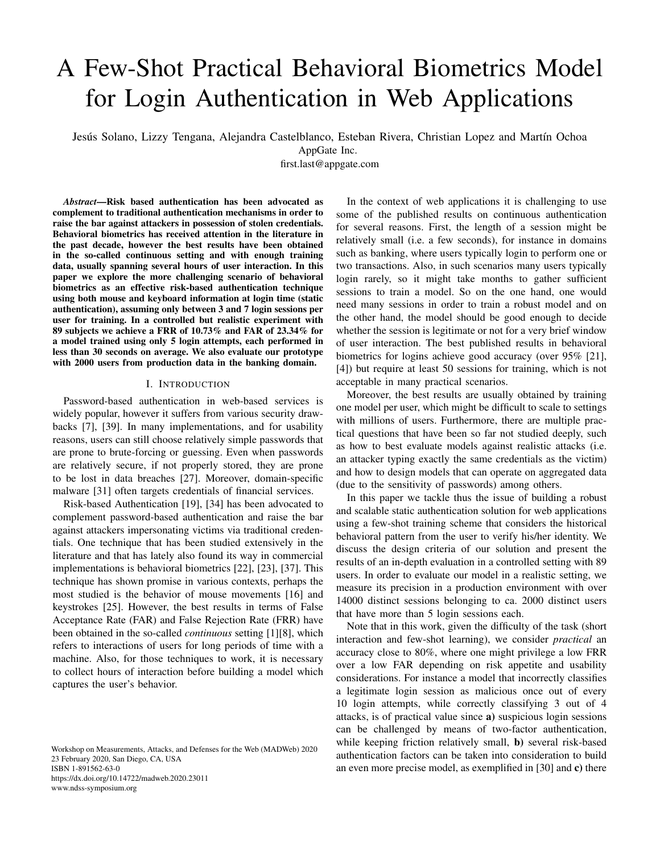# A Few-Shot Practical Behavioral Biometrics Model for Login Authentication in Web Applications

Jesús Solano, Lizzy Tengana, Alejandra Castelblanco, Esteban Rivera, Christian Lopez and Martín Ochoa

first.last@appgate.com

*Abstract*—Risk based authentication has been advocated as complement to traditional authentication mechanisms in order to raise the bar against attackers in possession of stolen credentials. Behavioral biometrics has received attention in the literature in the past decade, however the best results have been obtained in the so-called continuous setting and with enough training data, usually spanning several hours of user interaction. In this paper we explore the more challenging scenario of behavioral biometrics as an effective risk-based authentication technique using both mouse and keyboard information at login time (static authentication), assuming only between 3 and 7 login sessions per user for training. In a controlled but realistic experiment with 89 subjects we achieve a FRR of 10.73% and FAR of 23.34% for a model trained using only 5 login attempts, each performed in less than 30 seconds on average. We also evaluate our prototype with 2000 users from production data in the banking domain.

## I. INTRODUCTION

Password-based authentication in web-based services is widely popular, however it suffers from various security drawbacks [7], [39]. In many implementations, and for usability reasons, users can still choose relatively simple passwords that are prone to brute-forcing or guessing. Even when passwords are relatively secure, if not properly stored, they are prone to be lost in data breaches [27]. Moreover, domain-specific malware [31] often targets credentials of financial services.

Risk-based Authentication [19], [34] has been advocated to complement password-based authentication and raise the bar against attackers impersonating victims via traditional credentials. One technique that has been studied extensively in the literature and that has lately also found its way in commercial implementations is behavioral biometrics [22], [23], [37]. This technique has shown promise in various contexts, perhaps the most studied is the behavior of mouse movements [16] and keystrokes [25]. However, the best results in terms of False Acceptance Rate (FAR) and False Rejection Rate (FRR) have been obtained in the so-called *continuous* setting [1][8], which refers to interactions of users for long periods of time with a machine. Also, for those techniques to work, it is necessary to collect hours of interaction before building a model which captures the user's behavior.

Workshop on Measurements, Attacks, and Defenses for the Web (MADWeb) 2020 23 February 2020, San Diego, CA, USA ISBN 1-891562-63-0 https://dx.doi.org/10.14722/madweb.2020.23011 www.ndss-symposium.org

In the context of web applications it is challenging to use some of the published results on continuous authentication for several reasons. First, the length of a session might be relatively small (i.e. a few seconds), for instance in domains such as banking, where users typically login to perform one or two transactions. Also, in such scenarios many users typically login rarely, so it might take months to gather sufficient sessions to train a model. So on the one hand, one would need many sessions in order to train a robust model and on the other hand, the model should be good enough to decide whether the session is legitimate or not for a very brief window of user interaction. The best published results in behavioral biometrics for logins achieve good accuracy (over 95% [21], [4]) but require at least 50 sessions for training, which is not acceptable in many practical scenarios.

Moreover, the best results are usually obtained by training one model per user, which might be difficult to scale to settings with millions of users. Furthermore, there are multiple practical questions that have been so far not studied deeply, such as how to best evaluate models against realistic attacks (i.e. an attacker typing exactly the same credentials as the victim) and how to design models that can operate on aggregated data (due to the sensitivity of passwords) among others.

In this paper we tackle thus the issue of building a robust and scalable static authentication solution for web applications using a few-shot training scheme that considers the historical behavioral pattern from the user to verify his/her identity. We discuss the design criteria of our solution and present the results of an in-depth evaluation in a controlled setting with 89 users. In order to evaluate our model in a realistic setting, we measure its precision in a production environment with over 14000 distinct sessions belonging to ca. 2000 distinct users that have more than 5 login sessions each.

Note that in this work, given the difficulty of the task (short interaction and few-shot learning), we consider *practical* an accuracy close to 80%, where one might privilege a low FRR over a low FAR depending on risk appetite and usability considerations. For instance a model that incorrectly classifies a legitimate login session as malicious once out of every 10 login attempts, while correctly classifying 3 out of 4 attacks, is of practical value since a) suspicious login sessions can be challenged by means of two-factor authentication, while keeping friction relatively small, **b**) several risk-based authentication factors can be taken into consideration to build an even more precise model, as exemplified in [30] and c) there

AppGate Inc.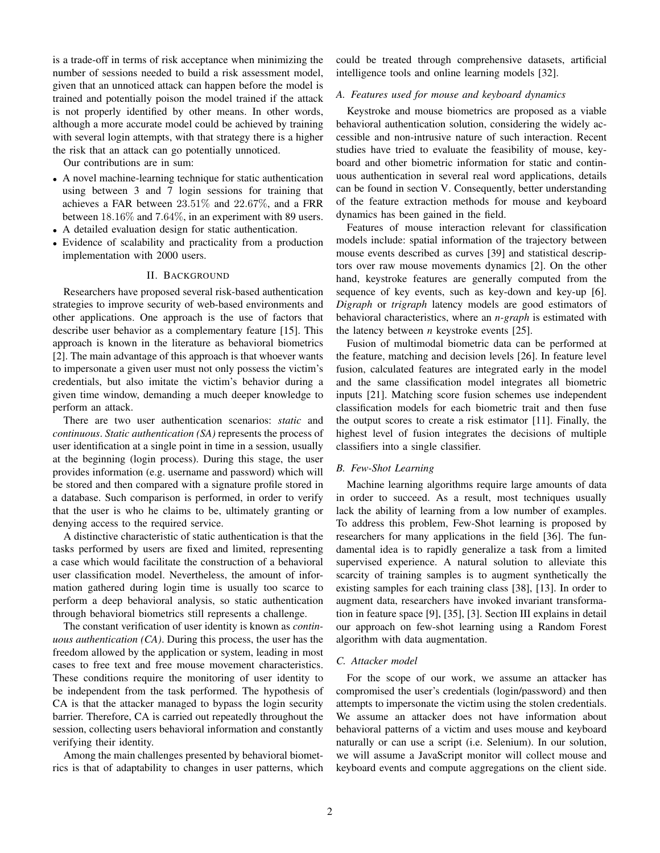is a trade-off in terms of risk acceptance when minimizing the number of sessions needed to build a risk assessment model, given that an unnoticed attack can happen before the model is trained and potentially poison the model trained if the attack is not properly identified by other means. In other words, although a more accurate model could be achieved by training with several login attempts, with that strategy there is a higher the risk that an attack can go potentially unnoticed.

Our contributions are in sum:

- A novel machine-learning technique for static authentication using between 3 and 7 login sessions for training that achieves a FAR between 23.51% and 22.67%, and a FRR between 18.16% and 7.64%, in an experiment with 89 users.
- A detailed evaluation design for static authentication.
- Evidence of scalability and practicality from a production implementation with 2000 users.

#### II. BACKGROUND

Researchers have proposed several risk-based authentication strategies to improve security of web-based environments and other applications. One approach is the use of factors that describe user behavior as a complementary feature [15]. This approach is known in the literature as behavioral biometrics [2]. The main advantage of this approach is that whoever wants to impersonate a given user must not only possess the victim's credentials, but also imitate the victim's behavior during a given time window, demanding a much deeper knowledge to perform an attack.

There are two user authentication scenarios: *static* and *continuous*. *Static authentication (SA)* represents the process of user identification at a single point in time in a session, usually at the beginning (login process). During this stage, the user provides information (e.g. username and password) which will be stored and then compared with a signature profile stored in a database. Such comparison is performed, in order to verify that the user is who he claims to be, ultimately granting or denying access to the required service.

A distinctive characteristic of static authentication is that the tasks performed by users are fixed and limited, representing a case which would facilitate the construction of a behavioral user classification model. Nevertheless, the amount of information gathered during login time is usually too scarce to perform a deep behavioral analysis, so static authentication through behavioral biometrics still represents a challenge.

The constant verification of user identity is known as *continuous authentication (CA)*. During this process, the user has the freedom allowed by the application or system, leading in most cases to free text and free mouse movement characteristics. These conditions require the monitoring of user identity to be independent from the task performed. The hypothesis of CA is that the attacker managed to bypass the login security barrier. Therefore, CA is carried out repeatedly throughout the session, collecting users behavioral information and constantly verifying their identity.

Among the main challenges presented by behavioral biometrics is that of adaptability to changes in user patterns, which could be treated through comprehensive datasets, artificial intelligence tools and online learning models [32].

# *A. Features used for mouse and keyboard dynamics*

Keystroke and mouse biometrics are proposed as a viable behavioral authentication solution, considering the widely accessible and non-intrusive nature of such interaction. Recent studies have tried to evaluate the feasibility of mouse, keyboard and other biometric information for static and continuous authentication in several real word applications, details can be found in section V. Consequently, better understanding of the feature extraction methods for mouse and keyboard dynamics has been gained in the field.

Features of mouse interaction relevant for classification models include: spatial information of the trajectory between mouse events described as curves [39] and statistical descriptors over raw mouse movements dynamics [2]. On the other hand, keystroke features are generally computed from the sequence of key events, such as key-down and key-up [6]. *Digraph* or *trigraph* latency models are good estimators of behavioral characteristics, where an *n-graph* is estimated with the latency between *n* keystroke events [25].

Fusion of multimodal biometric data can be performed at the feature, matching and decision levels [26]. In feature level fusion, calculated features are integrated early in the model and the same classification model integrates all biometric inputs [21]. Matching score fusion schemes use independent classification models for each biometric trait and then fuse the output scores to create a risk estimator [11]. Finally, the highest level of fusion integrates the decisions of multiple classifiers into a single classifier.

#### *B. Few-Shot Learning*

Machine learning algorithms require large amounts of data in order to succeed. As a result, most techniques usually lack the ability of learning from a low number of examples. To address this problem, Few-Shot learning is proposed by researchers for many applications in the field [36]. The fundamental idea is to rapidly generalize a task from a limited supervised experience. A natural solution to alleviate this scarcity of training samples is to augment synthetically the existing samples for each training class [38], [13]. In order to augment data, researchers have invoked invariant transformation in feature space [9], [35], [3]. Section III explains in detail our approach on few-shot learning using a Random Forest algorithm with data augmentation.

#### *C. Attacker model*

For the scope of our work, we assume an attacker has compromised the user's credentials (login/password) and then attempts to impersonate the victim using the stolen credentials. We assume an attacker does not have information about behavioral patterns of a victim and uses mouse and keyboard naturally or can use a script (i.e. Selenium). In our solution, we will assume a JavaScript monitor will collect mouse and keyboard events and compute aggregations on the client side.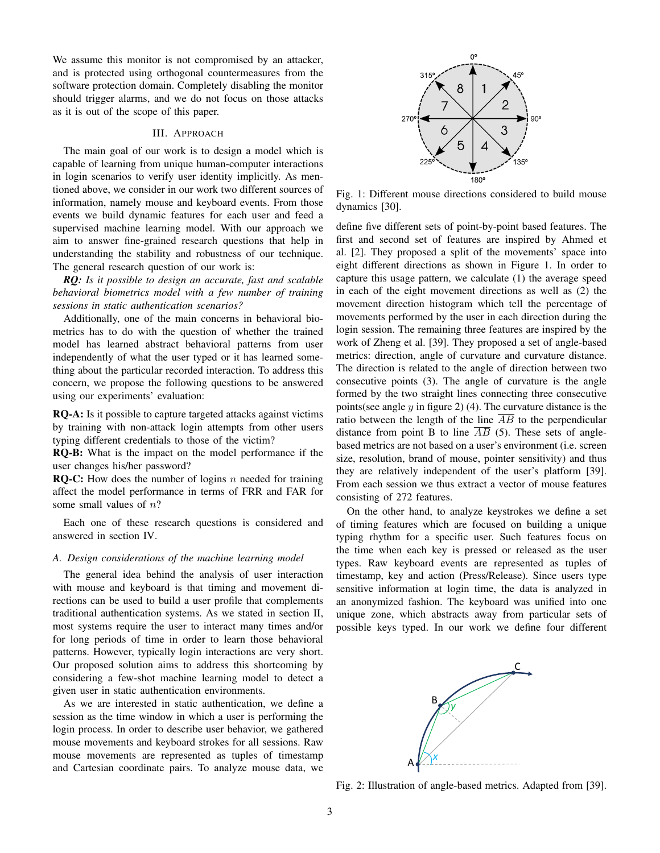We assume this monitor is not compromised by an attacker, and is protected using orthogonal countermeasures from the software protection domain. Completely disabling the monitor should trigger alarms, and we do not focus on those attacks as it is out of the scope of this paper.

#### III. APPROACH

The main goal of our work is to design a model which is capable of learning from unique human-computer interactions in login scenarios to verify user identity implicitly. As mentioned above, we consider in our work two different sources of information, namely mouse and keyboard events. From those events we build dynamic features for each user and feed a supervised machine learning model. With our approach we aim to answer fine-grained research questions that help in understanding the stability and robustness of our technique. The general research question of our work is:

*RQ: Is it possible to design an accurate, fast and scalable behavioral biometrics model with a few number of training sessions in static authentication scenarios?*

Additionally, one of the main concerns in behavioral biometrics has to do with the question of whether the trained model has learned abstract behavioral patterns from user independently of what the user typed or it has learned something about the particular recorded interaction. To address this concern, we propose the following questions to be answered using our experiments' evaluation:

RQ-A: Is it possible to capture targeted attacks against victims by training with non-attack login attempts from other users typing different credentials to those of the victim?

RQ-B: What is the impact on the model performance if the user changes his/her password?

**RQ-C:** How does the number of logins  $n$  needed for training affect the model performance in terms of FRR and FAR for some small values of  $n$ ?

Each one of these research questions is considered and answered in section IV.

## *A. Design considerations of the machine learning model*

The general idea behind the analysis of user interaction with mouse and keyboard is that timing and movement directions can be used to build a user profile that complements traditional authentication systems. As we stated in section II, most systems require the user to interact many times and/or for long periods of time in order to learn those behavioral patterns. However, typically login interactions are very short. Our proposed solution aims to address this shortcoming by considering a few-shot machine learning model to detect a given user in static authentication environments.

As we are interested in static authentication, we define a session as the time window in which a user is performing the login process. In order to describe user behavior, we gathered mouse movements and keyboard strokes for all sessions. Raw mouse movements are represented as tuples of timestamp and Cartesian coordinate pairs. To analyze mouse data, we



Fig. 1: Different mouse directions considered to build mouse dynamics [30].

define five different sets of point-by-point based features. The first and second set of features are inspired by Ahmed et al. [2]. They proposed a split of the movements' space into eight different directions as shown in Figure 1. In order to capture this usage pattern, we calculate (1) the average speed in each of the eight movement directions as well as (2) the movement direction histogram which tell the percentage of movements performed by the user in each direction during the login session. The remaining three features are inspired by the work of Zheng et al. [39]. They proposed a set of angle-based metrics: direction, angle of curvature and curvature distance. The direction is related to the angle of direction between two consecutive points (3). The angle of curvature is the angle formed by the two straight lines connecting three consecutive points(see angle  $y$  in figure 2) (4). The curvature distance is the ratio between the length of the line  $\overline{AB}$  to the perpendicular distance from point B to line  $\overline{AB}$  (5). These sets of anglebased metrics are not based on a user's environment (i.e. screen size, resolution, brand of mouse, pointer sensitivity) and thus they are relatively independent of the user's platform [39]. From each session we thus extract a vector of mouse features consisting of 272 features.

On the other hand, to analyze keystrokes we define a set of timing features which are focused on building a unique typing rhythm for a specific user. Such features focus on the time when each key is pressed or released as the user types. Raw keyboard events are represented as tuples of timestamp, key and action (Press/Release). Since users type sensitive information at login time, the data is analyzed in an anonymized fashion. The keyboard was unified into one unique zone, which abstracts away from particular sets of possible keys typed. In our work we define four different



Fig. 2: Illustration of angle-based metrics. Adapted from [39].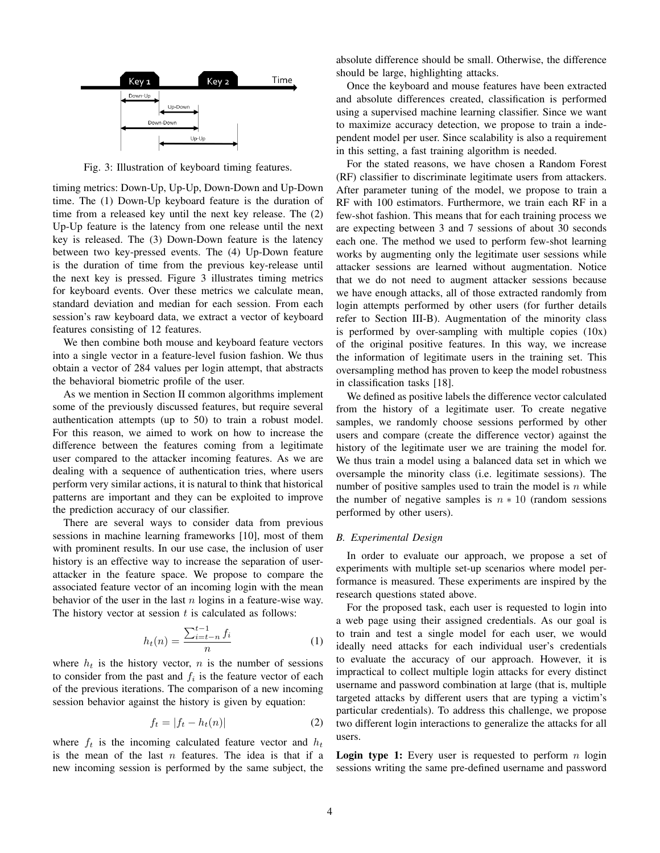

Fig. 3: Illustration of keyboard timing features.

timing metrics: Down-Up, Up-Up, Down-Down and Up-Down time. The (1) Down-Up keyboard feature is the duration of time from a released key until the next key release. The (2) Up-Up feature is the latency from one release until the next key is released. The (3) Down-Down feature is the latency between two key-pressed events. The (4) Up-Down feature is the duration of time from the previous key-release until the next key is pressed. Figure 3 illustrates timing metrics for keyboard events. Over these metrics we calculate mean, standard deviation and median for each session. From each session's raw keyboard data, we extract a vector of keyboard features consisting of 12 features.

We then combine both mouse and keyboard feature vectors into a single vector in a feature-level fusion fashion. We thus obtain a vector of 284 values per login attempt, that abstracts the behavioral biometric profile of the user.

As we mention in Section II common algorithms implement some of the previously discussed features, but require several authentication attempts (up to 50) to train a robust model. For this reason, we aimed to work on how to increase the difference between the features coming from a legitimate user compared to the attacker incoming features. As we are dealing with a sequence of authentication tries, where users perform very similar actions, it is natural to think that historical patterns are important and they can be exploited to improve the prediction accuracy of our classifier.

There are several ways to consider data from previous sessions in machine learning frameworks [10], most of them with prominent results. In our use case, the inclusion of user history is an effective way to increase the separation of userattacker in the feature space. We propose to compare the associated feature vector of an incoming login with the mean behavior of the user in the last  $n$  logins in a feature-wise way. The history vector at session  $t$  is calculated as follows:

$$
h_t(n) = \frac{\sum_{i=t-n}^{t-1} f_i}{n} \tag{1}
$$

where  $h_t$  is the history vector, n is the number of sessions to consider from the past and  $f_i$  is the feature vector of each of the previous iterations. The comparison of a new incoming session behavior against the history is given by equation:

$$
f_t = |f_t - h_t(n)| \tag{2}
$$

where  $f_t$  is the incoming calculated feature vector and  $h_t$ is the mean of the last  $n$  features. The idea is that if a new incoming session is performed by the same subject, the

absolute difference should be small. Otherwise, the difference should be large, highlighting attacks.

Once the keyboard and mouse features have been extracted and absolute differences created, classification is performed using a supervised machine learning classifier. Since we want to maximize accuracy detection, we propose to train a independent model per user. Since scalability is also a requirement in this setting, a fast training algorithm is needed.

For the stated reasons, we have chosen a Random Forest (RF) classifier to discriminate legitimate users from attackers. After parameter tuning of the model, we propose to train a RF with 100 estimators. Furthermore, we train each RF in a few-shot fashion. This means that for each training process we are expecting between 3 and 7 sessions of about 30 seconds each one. The method we used to perform few-shot learning works by augmenting only the legitimate user sessions while attacker sessions are learned without augmentation. Notice that we do not need to augment attacker sessions because we have enough attacks, all of those extracted randomly from login attempts performed by other users (for further details refer to Section III-B). Augmentation of the minority class is performed by over-sampling with multiple copies (10x) of the original positive features. In this way, we increase the information of legitimate users in the training set. This oversampling method has proven to keep the model robustness in classification tasks [18].

We defined as positive labels the difference vector calculated from the history of a legitimate user. To create negative samples, we randomly choose sessions performed by other users and compare (create the difference vector) against the history of the legitimate user we are training the model for. We thus train a model using a balanced data set in which we oversample the minority class (i.e. legitimate sessions). The number of positive samples used to train the model is  $n$  while the number of negative samples is  $n \times 10$  (random sessions performed by other users).

# *B. Experimental Design*

In order to evaluate our approach, we propose a set of experiments with multiple set-up scenarios where model performance is measured. These experiments are inspired by the research questions stated above.

For the proposed task, each user is requested to login into a web page using their assigned credentials. As our goal is to train and test a single model for each user, we would ideally need attacks for each individual user's credentials to evaluate the accuracy of our approach. However, it is impractical to collect multiple login attacks for every distinct username and password combination at large (that is, multiple targeted attacks by different users that are typing a victim's particular credentials). To address this challenge, we propose two different login interactions to generalize the attacks for all users.

**Login type 1:** Every user is requested to perform  $n \log n$ sessions writing the same pre-defined username and password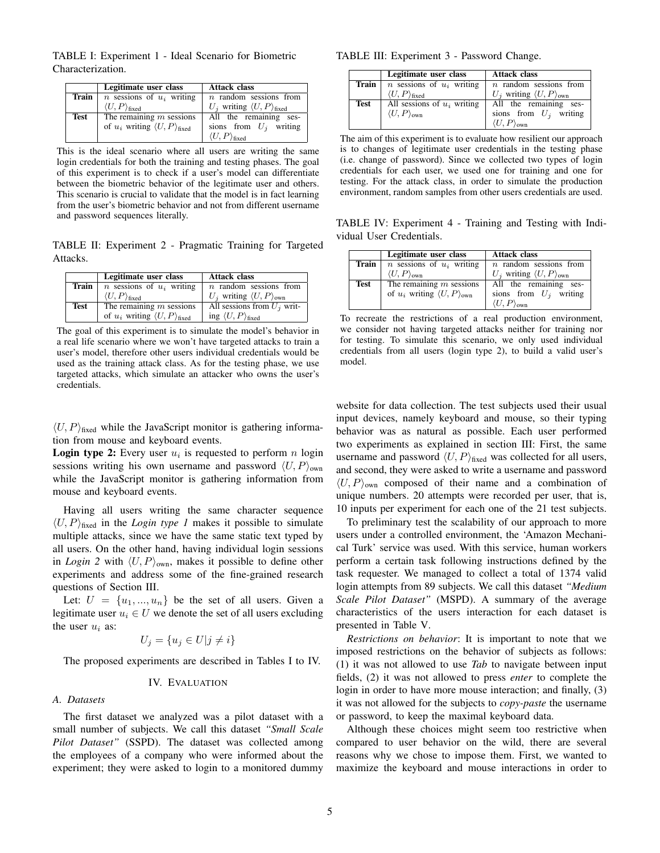TABLE I: Experiment 1 - Ideal Scenario for Biometric Characterization.

|       | Legitimate user class                                    | <b>Attack class</b>                        |  |  |
|-------|----------------------------------------------------------|--------------------------------------------|--|--|
| Train | <i>n</i> sessions of $u_i$ writing                       | $n$ random sessions from                   |  |  |
|       | $\langle U, P \rangle_{\text{fixed}}$                    | $U_i$ writing $\langle U, P \rangle$ fixed |  |  |
| Test  | The remaining $m$ sessions                               | All the remaining ses-                     |  |  |
|       | of $u_i$ writing $\langle U, P \rangle$ <sub>fixed</sub> | sions from $U_i$ writing                   |  |  |
|       |                                                          | $\langle U, P \rangle_{\text{fixed}}$      |  |  |

This is the ideal scenario where all users are writing the same login credentials for both the training and testing phases. The goal of this experiment is to check if a user's model can differentiate between the biometric behavior of the legitimate user and others. This scenario is crucial to validate that the model is in fact learning from the user's biometric behavior and not from different username and password sequences literally.

TABLE II: Experiment 2 - Pragmatic Training for Targeted Attacks.

|       | Legitimate user class                                    | <b>Attack class</b>                               |  |  |
|-------|----------------------------------------------------------|---------------------------------------------------|--|--|
| Train | <i>n</i> sessions of $u_i$ writing                       | $n$ random sessions from                          |  |  |
|       | $\langle U, P \rangle_{\text{fixed}}$                    | $U_i$ writing $\langle U, P \rangle_{\text{own}}$ |  |  |
| Test  | The remaining $m$ sessions                               | All sessions from $U_i$ writ-                     |  |  |
|       | of $u_i$ writing $\langle U, P \rangle$ <sub>fixed</sub> | ing $\langle U, P \rangle_{\text{fixed}}$         |  |  |

The goal of this experiment is to simulate the model's behavior in a real life scenario where we won't have targeted attacks to train a user's model, therefore other users individual credentials would be used as the training attack class. As for the testing phase, we use targeted attacks, which simulate an attacker who owns the user's credentials.

 $\langle U, P \rangle$ <sub>fixed</sub> while the JavaScript monitor is gathering information from mouse and keyboard events.

**Login type 2:** Every user  $u_i$  is requested to perform n login sessions writing his own username and password  $\langle U, P \rangle_{\text{own}}$ while the JavaScript monitor is gathering information from mouse and keyboard events.

Having all users writing the same character sequence  $\langle U, P \rangle$ <sub>fixed</sub> in the *Login type 1* makes it possible to simulate multiple attacks, since we have the same static text typed by all users. On the other hand, having individual login sessions in *Login 2* with  $\langle U, P \rangle_{\text{own}}$ , makes it possible to define other experiments and address some of the fine-grained research questions of Section III.

Let:  $U = \{u_1, ..., u_n\}$  be the set of all users. Given a legitimate user  $u_i \in U$  we denote the set of all users excluding the user  $u_i$  as:

$$
U_j = \{ u_j \in U | j \neq i \}
$$

The proposed experiments are described in Tables I to IV.

## IV. EVALUATION

## *A. Datasets*

The first dataset we analyzed was a pilot dataset with a small number of subjects. We call this dataset *"Small Scale Pilot Dataset"* (SSPD). The dataset was collected among the employees of a company who were informed about the experiment; they were asked to login to a monitored dummy

#### TABLE III: Experiment 3 - Password Change.

|      | Legitimate user class                                  | <b>Attack class</b>                               |  |  |  |
|------|--------------------------------------------------------|---------------------------------------------------|--|--|--|
|      | <b>Train</b> $\mid$ <i>n</i> sessions of $u_i$ writing | $n$ random sessions from                          |  |  |  |
|      | $\langle U, P \rangle_{\text{fixed}}$                  | $U_i$ writing $\langle U, P \rangle_{\text{own}}$ |  |  |  |
| Test | All sessions of $u_i$ writing                          | All the remaining ses-                            |  |  |  |
|      | $\langle U, P \rangle_{\text{own}}$                    | sions from $U_i$ writing                          |  |  |  |
|      |                                                        | $\langle U, P \rangle_{\text{own}}$               |  |  |  |

The aim of this experiment is to evaluate how resilient our approach is to changes of legitimate user credentials in the testing phase (i.e. change of password). Since we collected two types of login credentials for each user, we used one for training and one for testing. For the attack class, in order to simulate the production environment, random samples from other users credentials are used.

TABLE IV: Experiment 4 - Training and Testing with Individual User Credentials.

|             | Legitimate user class                                | <b>Attack class</b>                               |  |  |  |
|-------------|------------------------------------------------------|---------------------------------------------------|--|--|--|
| Train       | <i>n</i> sessions of $u_i$ writing                   | $n$ random sessions from                          |  |  |  |
|             | $\langle U, P \rangle_{\text{own}}$                  | $U_j$ writing $\langle U, P \rangle_{\text{own}}$ |  |  |  |
| <b>Test</b> | The remaining $m$ sessions                           | All the remaining ses-                            |  |  |  |
|             | of $u_i$ writing $\langle U, P \rangle_{\text{own}}$ | sions from $U_i$ writing                          |  |  |  |
|             |                                                      | $\langle U, P \rangle_{\text{own}}$               |  |  |  |

To recreate the restrictions of a real production environment, we consider not having targeted attacks neither for training nor for testing. To simulate this scenario, we only used individual credentials from all users (login type 2), to build a valid user's model.

website for data collection. The test subjects used their usual input devices, namely keyboard and mouse, so their typing behavior was as natural as possible. Each user performed two experiments as explained in section III: First, the same username and password  $\langle U, P \rangle$ <sub>fixed</sub> was collected for all users, and second, they were asked to write a username and password  $\langle U, P \rangle_{\text{own}}$  composed of their name and a combination of unique numbers. 20 attempts were recorded per user, that is, 10 inputs per experiment for each one of the 21 test subjects.

To preliminary test the scalability of our approach to more users under a controlled environment, the 'Amazon Mechanical Turk' service was used. With this service, human workers perform a certain task following instructions defined by the task requester. We managed to collect a total of 1374 valid login attempts from 89 subjects. We call this dataset *"Medium Scale Pilot Dataset"* (MSPD). A summary of the average characteristics of the users interaction for each dataset is presented in Table V.

*Restrictions on behavior*: It is important to note that we imposed restrictions on the behavior of subjects as follows: (1) it was not allowed to use *Tab* to navigate between input fields, (2) it was not allowed to press *enter* to complete the login in order to have more mouse interaction; and finally, (3) it was not allowed for the subjects to *copy-paste* the username or password, to keep the maximal keyboard data.

Although these choices might seem too restrictive when compared to user behavior on the wild, there are several reasons why we chose to impose them. First, we wanted to maximize the keyboard and mouse interactions in order to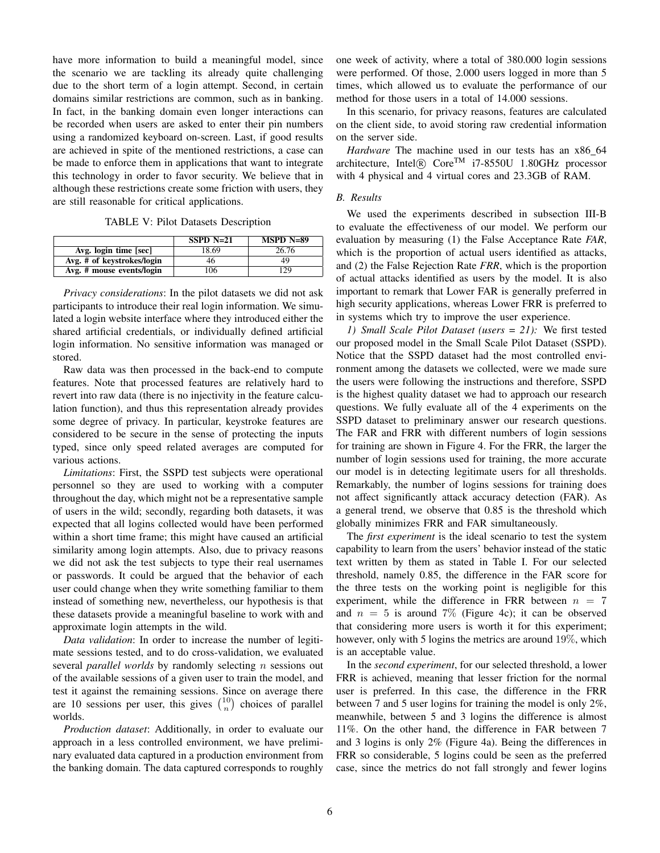have more information to build a meaningful model, since the scenario we are tackling its already quite challenging due to the short term of a login attempt. Second, in certain domains similar restrictions are common, such as in banking. In fact, in the banking domain even longer interactions can be recorded when users are asked to enter their pin numbers using a randomized keyboard on-screen. Last, if good results are achieved in spite of the mentioned restrictions, a case can be made to enforce them in applications that want to integrate this technology in order to favor security. We believe that in although these restrictions create some friction with users, they are still reasonable for critical applications.

TABLE V: Pilot Datasets Description

|                            | $SSPD N=21$ | $MSPD N=89$ |
|----------------------------|-------------|-------------|
| Avg. login time [sec]      | 18.69       | 26.76       |
| Avg. # of keystrokes/login | 46          | 49          |
| Avg. # mouse events/login  | 106         | 129         |

*Privacy considerations*: In the pilot datasets we did not ask participants to introduce their real login information. We simulated a login website interface where they introduced either the shared artificial credentials, or individually defined artificial login information. No sensitive information was managed or stored.

Raw data was then processed in the back-end to compute features. Note that processed features are relatively hard to revert into raw data (there is no injectivity in the feature calculation function), and thus this representation already provides some degree of privacy. In particular, keystroke features are considered to be secure in the sense of protecting the inputs typed, since only speed related averages are computed for various actions.

*Limitations*: First, the SSPD test subjects were operational personnel so they are used to working with a computer throughout the day, which might not be a representative sample of users in the wild; secondly, regarding both datasets, it was expected that all logins collected would have been performed within a short time frame; this might have caused an artificial similarity among login attempts. Also, due to privacy reasons we did not ask the test subjects to type their real usernames or passwords. It could be argued that the behavior of each user could change when they write something familiar to them instead of something new, nevertheless, our hypothesis is that these datasets provide a meaningful baseline to work with and approximate login attempts in the wild.

*Data validation*: In order to increase the number of legitimate sessions tested, and to do cross-validation, we evaluated several *parallel worlds* by randomly selecting n sessions out of the available sessions of a given user to train the model, and test it against the remaining sessions. Since on average there are 10 sessions per user, this gives  $\binom{10}{n}$  choices of parallel worlds.

*Production dataset*: Additionally, in order to evaluate our approach in a less controlled environment, we have preliminary evaluated data captured in a production environment from the banking domain. The data captured corresponds to roughly one week of activity, where a total of 380.000 login sessions were performed. Of those, 2.000 users logged in more than 5 times, which allowed us to evaluate the performance of our method for those users in a total of 14.000 sessions.

In this scenario, for privacy reasons, features are calculated on the client side, to avoid storing raw credential information on the server side.

*Hardware* The machine used in our tests has an x86 64 architecture, Intel $\overline{R}$  Core<sup>TM</sup> i7-8550U 1.80GHz processor with 4 physical and 4 virtual cores and 23.3GB of RAM.

#### *B. Results*

We used the experiments described in subsection III-B to evaluate the effectiveness of our model. We perform our evaluation by measuring (1) the False Acceptance Rate *FAR*, which is the proportion of actual users identified as attacks, and (2) the False Rejection Rate *FRR*, which is the proportion of actual attacks identified as users by the model. It is also important to remark that Lower FAR is generally preferred in high security applications, whereas Lower FRR is preferred to in systems which try to improve the user experience.

*1) Small Scale Pilot Dataset (users = 21):* We first tested our proposed model in the Small Scale Pilot Dataset (SSPD). Notice that the SSPD dataset had the most controlled environment among the datasets we collected, were we made sure the users were following the instructions and therefore, SSPD is the highest quality dataset we had to approach our research questions. We fully evaluate all of the 4 experiments on the SSPD dataset to preliminary answer our research questions. The FAR and FRR with different numbers of login sessions for training are shown in Figure 4. For the FRR, the larger the number of login sessions used for training, the more accurate our model is in detecting legitimate users for all thresholds. Remarkably, the number of logins sessions for training does not affect significantly attack accuracy detection (FAR). As a general trend, we observe that 0.85 is the threshold which globally minimizes FRR and FAR simultaneously.

The *first experiment* is the ideal scenario to test the system capability to learn from the users' behavior instead of the static text written by them as stated in Table I. For our selected threshold, namely 0.85, the difference in the FAR score for the three tests on the working point is negligible for this experiment, while the difference in FRR between  $n = 7$ and  $n = 5$  is around 7% (Figure 4c); it can be observed that considering more users is worth it for this experiment; however, only with 5 logins the metrics are around 19%, which is an acceptable value.

In the *second experiment*, for our selected threshold, a lower FRR is achieved, meaning that lesser friction for the normal user is preferred. In this case, the difference in the FRR between 7 and 5 user logins for training the model is only 2%, meanwhile, between 5 and 3 logins the difference is almost 11%. On the other hand, the difference in FAR between 7 and 3 logins is only 2% (Figure 4a). Being the differences in FRR so considerable, 5 logins could be seen as the preferred case, since the metrics do not fall strongly and fewer logins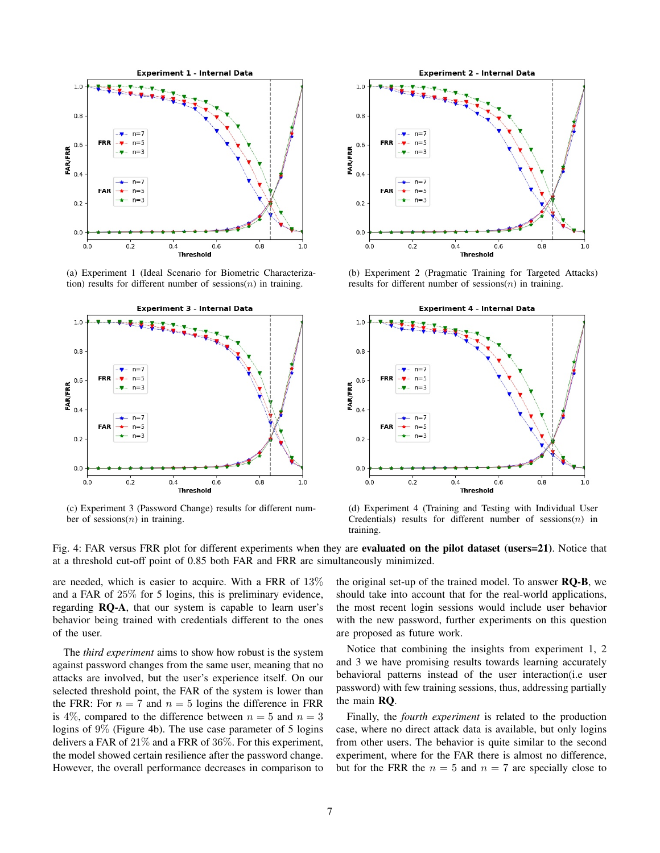

(a) Experiment 1 (Ideal Scenario for Biometric Characterization) results for different number of sessions $(n)$  in training.



(c) Experiment 3 (Password Change) results for different number of sessions $(n)$  in training.



(b) Experiment 2 (Pragmatic Training for Targeted Attacks) results for different number of sessions $(n)$  in training.



(d) Experiment 4 (Training and Testing with Individual User Credentials) results for different number of  $s$ essions $(n)$  in training.

Fig. 4: FAR versus FRR plot for different experiments when they are evaluated on the pilot dataset (users=21). Notice that at a threshold cut-off point of 0.85 both FAR and FRR are simultaneously minimized.

are needed, which is easier to acquire. With a FRR of 13% and a FAR of 25% for 5 logins, this is preliminary evidence, regarding RQ-A, that our system is capable to learn user's behavior being trained with credentials different to the ones of the user.

The *third experiment* aims to show how robust is the system against password changes from the same user, meaning that no attacks are involved, but the user's experience itself. On our selected threshold point, the FAR of the system is lower than the FRR: For  $n = 7$  and  $n = 5$  logins the difference in FRR is 4%, compared to the difference between  $n = 5$  and  $n = 3$ logins of 9% (Figure 4b). The use case parameter of 5 logins delivers a FAR of  $21\%$  and a FRR of  $36\%$ . For this experiment, the model showed certain resilience after the password change. However, the overall performance decreases in comparison to the original set-up of the trained model. To answer RQ-B, we should take into account that for the real-world applications, the most recent login sessions would include user behavior with the new password, further experiments on this question are proposed as future work.

Notice that combining the insights from experiment 1, 2 and 3 we have promising results towards learning accurately behavioral patterns instead of the user interaction(i.e user password) with few training sessions, thus, addressing partially the main RQ.

Finally, the *fourth experiment* is related to the production case, where no direct attack data is available, but only logins from other users. The behavior is quite similar to the second experiment, where for the FAR there is almost no difference, but for the FRR the  $n = 5$  and  $n = 7$  are specially close to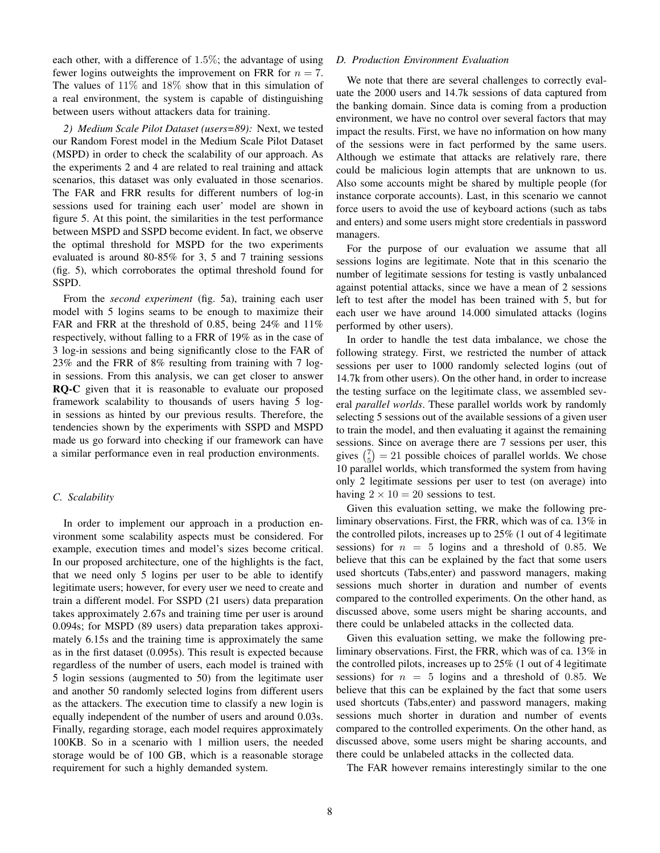each other, with a difference of 1.5%; the advantage of using fewer logins outweights the improvement on FRR for  $n = 7$ . The values of  $11\%$  and  $18\%$  show that in this simulation of a real environment, the system is capable of distinguishing between users without attackers data for training.

*2) Medium Scale Pilot Dataset (users=89):* Next, we tested our Random Forest model in the Medium Scale Pilot Dataset (MSPD) in order to check the scalability of our approach. As the experiments 2 and 4 are related to real training and attack scenarios, this dataset was only evaluated in those scenarios. The FAR and FRR results for different numbers of log-in sessions used for training each user' model are shown in figure 5. At this point, the similarities in the test performance between MSPD and SSPD become evident. In fact, we observe the optimal threshold for MSPD for the two experiments evaluated is around 80-85% for 3, 5 and 7 training sessions (fig. 5), which corroborates the optimal threshold found for SSPD.

From the *second experiment* (fig. 5a), training each user model with 5 logins seams to be enough to maximize their FAR and FRR at the threshold of 0.85, being 24% and 11% respectively, without falling to a FRR of 19% as in the case of 3 log-in sessions and being significantly close to the FAR of 23% and the FRR of 8% resulting from training with 7 login sessions. From this analysis, we can get closer to answer RQ-C given that it is reasonable to evaluate our proposed framework scalability to thousands of users having 5 login sessions as hinted by our previous results. Therefore, the tendencies shown by the experiments with SSPD and MSPD made us go forward into checking if our framework can have a similar performance even in real production environments.

## *C. Scalability*

In order to implement our approach in a production environment some scalability aspects must be considered. For example, execution times and model's sizes become critical. In our proposed architecture, one of the highlights is the fact, that we need only 5 logins per user to be able to identify legitimate users; however, for every user we need to create and train a different model. For SSPD (21 users) data preparation takes approximately 2.67s and training time per user is around 0.094s; for MSPD (89 users) data preparation takes approximately 6.15s and the training time is approximately the same as in the first dataset (0.095s). This result is expected because regardless of the number of users, each model is trained with 5 login sessions (augmented to 50) from the legitimate user and another 50 randomly selected logins from different users as the attackers. The execution time to classify a new login is equally independent of the number of users and around 0.03s. Finally, regarding storage, each model requires approximately 100KB. So in a scenario with 1 million users, the needed storage would be of 100 GB, which is a reasonable storage requirement for such a highly demanded system.

# *D. Production Environment Evaluation*

We note that there are several challenges to correctly evaluate the 2000 users and 14.7k sessions of data captured from the banking domain. Since data is coming from a production environment, we have no control over several factors that may impact the results. First, we have no information on how many of the sessions were in fact performed by the same users. Although we estimate that attacks are relatively rare, there could be malicious login attempts that are unknown to us. Also some accounts might be shared by multiple people (for instance corporate accounts). Last, in this scenario we cannot force users to avoid the use of keyboard actions (such as tabs and enters) and some users might store credentials in password managers.

For the purpose of our evaluation we assume that all sessions logins are legitimate. Note that in this scenario the number of legitimate sessions for testing is vastly unbalanced against potential attacks, since we have a mean of 2 sessions left to test after the model has been trained with 5, but for each user we have around 14.000 simulated attacks (logins performed by other users).

In order to handle the test data imbalance, we chose the following strategy. First, we restricted the number of attack sessions per user to 1000 randomly selected logins (out of 14.7k from other users). On the other hand, in order to increase the testing surface on the legitimate class, we assembled several *parallel worlds*. These parallel worlds work by randomly selecting 5 sessions out of the available sessions of a given user to train the model, and then evaluating it against the remaining sessions. Since on average there are 7 sessions per user, this gives  $\binom{7}{5} = 21$  possible choices of parallel worlds. We chose 10 parallel worlds, which transformed the system from having only 2 legitimate sessions per user to test (on average) into having  $2 \times 10 = 20$  sessions to test.

Given this evaluation setting, we make the following preliminary observations. First, the FRR, which was of ca. 13% in the controlled pilots, increases up to 25% (1 out of 4 legitimate sessions) for  $n = 5$  logins and a threshold of 0.85. We believe that this can be explained by the fact that some users used shortcuts (Tabs,enter) and password managers, making sessions much shorter in duration and number of events compared to the controlled experiments. On the other hand, as discussed above, some users might be sharing accounts, and there could be unlabeled attacks in the collected data.

Given this evaluation setting, we make the following preliminary observations. First, the FRR, which was of ca. 13% in the controlled pilots, increases up to 25% (1 out of 4 legitimate sessions) for  $n = 5$  logins and a threshold of 0.85. We believe that this can be explained by the fact that some users used shortcuts (Tabs,enter) and password managers, making sessions much shorter in duration and number of events compared to the controlled experiments. On the other hand, as discussed above, some users might be sharing accounts, and there could be unlabeled attacks in the collected data.

The FAR however remains interestingly similar to the one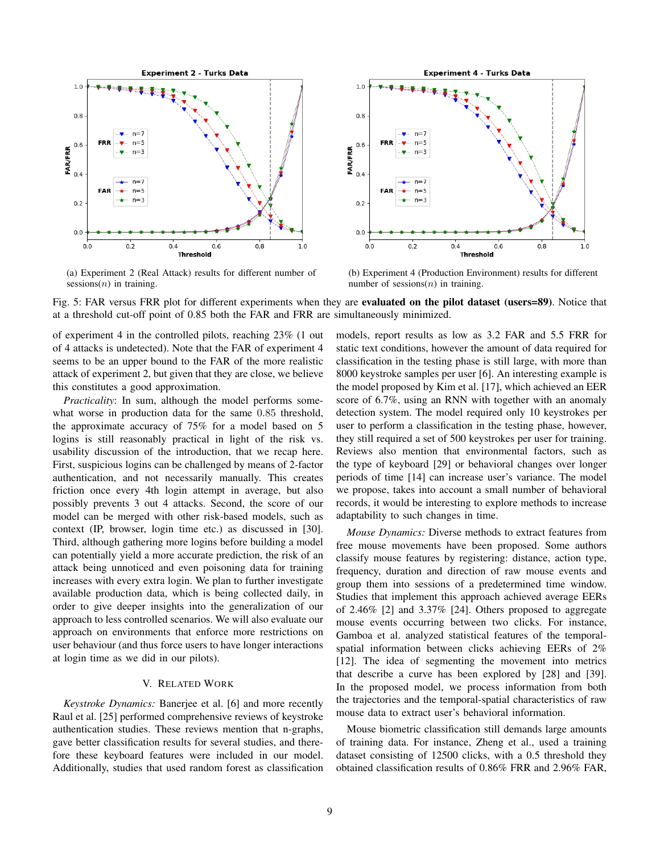

(a) Experiment 2 (Real Attack) results for different number of sessions $(n)$  in training.



(b) Experiment 4 (Production Environment) results for different number of sessions $(n)$  in training.

Fig. 5: FAR versus FRR plot for different experiments when they are evaluated on the pilot dataset (users=89). Notice that at a threshold cut-off point of 0.85 both the FAR and FRR are simultaneously minimized.

of experiment 4 in the controlled pilots, reaching 23% (1 out of 4 attacks is undetected). Note that the FAR of experiment 4 seems to be an upper bound to the FAR of the more realistic attack of experiment 2, but given that they are close, we believe this constitutes a good approximation.

*Practicality*: In sum, although the model performs somewhat worse in production data for the same 0.85 threshold, the approximate accuracy of 75% for a model based on 5 logins is still reasonably practical in light of the risk vs. usability discussion of the introduction, that we recap here. First, suspicious logins can be challenged by means of 2-factor authentication, and not necessarily manually. This creates friction once every 4th login attempt in average, but also possibly prevents 3 out 4 attacks. Second, the score of our model can be merged with other risk-based models, such as context (IP, browser, login time etc.) as discussed in [30]. Third, although gathering more logins before building a model can potentially yield a more accurate prediction, the risk of an attack being unnoticed and even poisoning data for training increases with every extra login. We plan to further investigate available production data, which is being collected daily, in order to give deeper insights into the generalization of our approach to less controlled scenarios. We will also evaluate our approach on environments that enforce more restrictions on user behaviour (and thus force users to have longer interactions at login time as we did in our pilots).

## V. RELATED WORK

*Keystroke Dynamics:* Banerjee et al. [6] and more recently Raul et al. [25] performed comprehensive reviews of keystroke authentication studies. These reviews mention that n-graphs, gave better classification results for several studies, and therefore these keyboard features were included in our model. Additionally, studies that used random forest as classification models, report results as low as 3.2 FAR and 5.5 FRR for static text conditions, however the amount of data required for classification in the testing phase is still large, with more than 8000 keystroke samples per user [6]. An interesting example is the model proposed by Kim et al. [17], which achieved an EER score of 6.7%, using an RNN with together with an anomaly detection system. The model required only 10 keystrokes per user to perform a classification in the testing phase, however, they still required a set of 500 keystrokes per user for training. Reviews also mention that environmental factors, such as the type of keyboard [29] or behavioral changes over longer periods of time [14] can increase user's variance. The model we propose, takes into account a small number of behavioral records, it would be interesting to explore methods to increase adaptability to such changes in time.

*Mouse Dynamics:* Diverse methods to extract features from free mouse movements have been proposed. Some authors classify mouse features by registering: distance, action type, frequency, duration and direction of raw mouse events and group them into sessions of a predetermined time window. Studies that implement this approach achieved average EERs of 2.46% [2] and 3.37% [24]. Others proposed to aggregate mouse events occurring between two clicks. For instance, Gamboa et al. analyzed statistical features of the temporalspatial information between clicks achieving EERs of 2% [12]. The idea of segmenting the movement into metrics that describe a curve has been explored by [28] and [39]. In the proposed model, we process information from both the trajectories and the temporal-spatial characteristics of raw mouse data to extract user's behavioral information.

Mouse biometric classification still demands large amounts of training data. For instance, Zheng et al., used a training dataset consisting of 12500 clicks, with a 0.5 threshold they obtained classification results of 0.86% FRR and 2.96% FAR,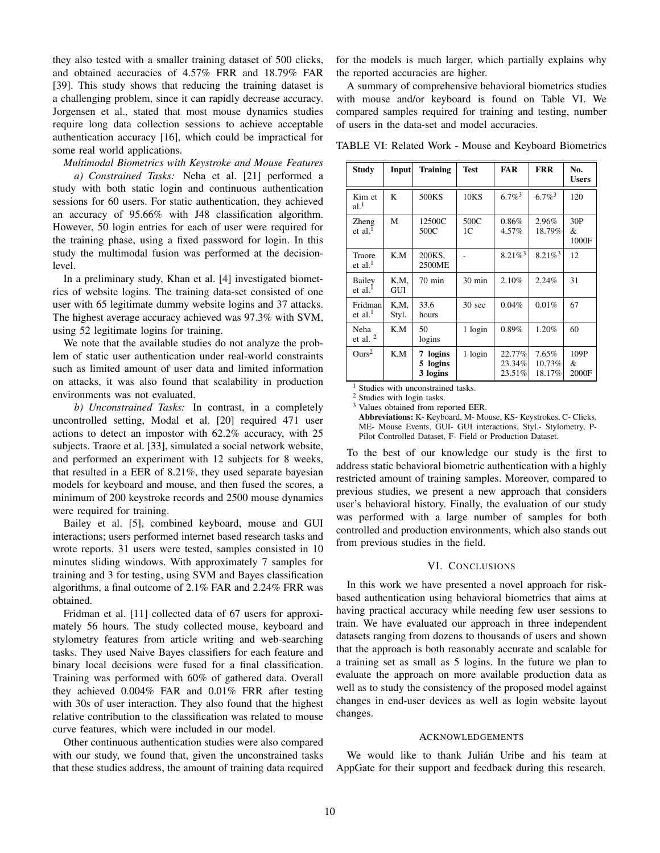they also tested with a smaller training dataset of 500 clicks, and obtained accuracies of 4.57% FRR and 18.79% FAR [39]. This study shows that reducing the training dataset is a challenging problem, since it can rapidly decrease accuracy. Jorgensen et al., stated that most mouse dynamics studies require long data collection sessions to achieve acceptable authentication accuracy [16], which could be impractical for some real world applications.

*Multimodal Biometrics with Keystroke and Mouse Features a) Constrained Tasks:* Neha et al. [21] performed a study with both static login and continuous authentication sessions for 60 users. For static authentication, they achieved an accuracy of 95.66% with J48 classification algorithm. However, 50 login entries for each of user were required for the training phase, using a fixed password for login. In this study the multimodal fusion was performed at the decisionlevel.

In a preliminary study, Khan et al. [4] investigated biometrics of website logins. The training data-set consisted of one user with 65 legitimate dummy website logins and 37 attacks. The highest average accuracy achieved was 97.3% with SVM, using 52 legitimate logins for training.

We note that the available studies do not analyze the problem of static user authentication under real-world constraints such as limited amount of user data and limited information on attacks, it was also found that scalability in production environments was not evaluated.

*b) Unconstrained Tasks:* In contrast, in a completely uncontrolled setting, Modal et al. [20] required 471 user actions to detect an impostor with 62.2% accuracy, with 25 subjects. Traore et al. [33], simulated a social network website, and performed an experiment with 12 subjects for 8 weeks, that resulted in a EER of 8.21%, they used separate bayesian models for keyboard and mouse, and then fused the scores, a minimum of 200 keystroke records and 2500 mouse dynamics were required for training.

Bailey et al. [5], combined keyboard, mouse and GUI interactions; users performed internet based research tasks and wrote reports. 31 users were tested, samples consisted in 10 minutes sliding windows. With approximately 7 samples for training and 3 for testing, using SVM and Bayes classification algorithms, a final outcome of 2.1% FAR and 2.24% FRR was obtained.

Fridman et al. [11] collected data of 67 users for approximately 56 hours. The study collected mouse, keyboard and stylometry features from article writing and web-searching tasks. They used Naive Bayes classifiers for each feature and binary local decisions were fused for a final classification. Training was performed with 60% of gathered data. Overall they achieved 0.004% FAR and 0.01% FRR after testing with 30s of user interaction. They also found that the highest relative contribution to the classification was related to mouse curve features, which were included in our model.

Other continuous authentication studies were also compared with our study, we found that, given the unconstrained tasks that these studies address, the amount of training data required for the models is much larger, which partially explains why the reported accuracies are higher.

A summary of comprehensive behavioral biometrics studies with mouse and/or keyboard is found on Table VI. We compared samples required for training and testing, number of users in the data-set and model accuracies.

TABLE VI: Related Work - Mouse and Keyboard Biometrics

| <b>Study</b>                  | Input         | <b>Training</b>                        | <b>Test</b>            | <b>FAR</b>                 | <b>FRR</b>                | No.<br><b>Users</b> |
|-------------------------------|---------------|----------------------------------------|------------------------|----------------------------|---------------------------|---------------------|
| Kim et<br>al. <sup>1</sup>    | K             | 500KS                                  | <b>10KS</b>            | $6.7\%$ <sup>3</sup>       | $6.7\%$ <sup>3</sup>      | 120                 |
| Zheng<br>et al. <sup>1</sup>  | M             | 12500C<br>500C                         | 500C<br>1 <sup>C</sup> | 0.86%<br>4.57%             | 2.96%<br>18.79%           | 30P<br>&<br>1000F   |
| Traore<br>et al. <sup>1</sup> | K.M           | 200KS,<br>2500ME                       |                        | $8.21\%$ <sup>3</sup>      | $8.21\%$ <sup>3</sup>     | 12                  |
| Bailey<br>et al. $1$          | K,M,<br>GUI   | $70 \text{ min}$                       | 30 min                 | 2.10%                      | 2.24%                     | 31                  |
| Fridman<br>et al. $1$         | K,M,<br>Styl. | 33.6<br>hours                          | 30 sec                 | 0.04%                      | 0.01%                     | 67                  |
| Neha<br>et al. $2$            | K,M           | 50<br>logins                           | 1 login                | 0.89%                      | 1.20%                     | 60                  |
| Ours <sup>2</sup>             | K,M           | logins<br>7<br>logins<br>5<br>3 logins | 1 login                | 22.77%<br>23.34%<br>23.51% | 7.65%<br>10.73%<br>18.17% | 109P<br>&<br>2000F  |

<sup>1</sup> Studies with unconstrained tasks.

 $\frac{2}{3}$  Studies with login tasks.

Values obtained from reported EER.

Abbreviations: K- Keyboard, M- Mouse, KS- Keystrokes, C- Clicks, ME- Mouse Events, GUI- GUI interactions, Styl.- Stylometry, P-Pilot Controlled Dataset, F- Field or Production Dataset.

To the best of our knowledge our study is the first to address static behavioral biometric authentication with a highly restricted amount of training samples. Moreover, compared to previous studies, we present a new approach that considers user's behavioral history. Finally, the evaluation of our study was performed with a large number of samples for both controlled and production environments, which also stands out from previous studies in the field.

## VI. CONCLUSIONS

In this work we have presented a novel approach for riskbased authentication using behavioral biometrics that aims at having practical accuracy while needing few user sessions to train. We have evaluated our approach in three independent datasets ranging from dozens to thousands of users and shown that the approach is both reasonably accurate and scalable for a training set as small as 5 logins. In the future we plan to evaluate the approach on more available production data as well as to study the consistency of the proposed model against changes in end-user devices as well as login website layout changes.

#### **ACKNOWLEDGEMENTS**

We would like to thank Julián Uribe and his team at AppGate for their support and feedback during this research.